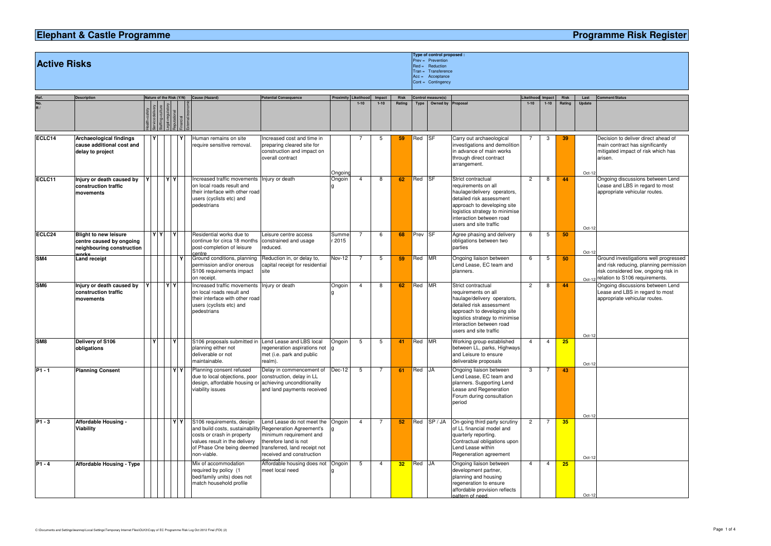## **Elephant & Castle Programme**

## **Programme Risk Register**

**Active Risks**

|                    |                                                                                                |    |    |                          |           |                                                                                                                                                                                                  |                                                                                                                                              |                             |                |                |                 | $Cont =$ Contingency |                    |                                                                                                                                                                                                                             |                   |                                                        |             |                  |                                                                |
|--------------------|------------------------------------------------------------------------------------------------|----|----|--------------------------|-----------|--------------------------------------------------------------------------------------------------------------------------------------------------------------------------------------------------|----------------------------------------------------------------------------------------------------------------------------------------------|-----------------------------|----------------|----------------|-----------------|----------------------|--------------------|-----------------------------------------------------------------------------------------------------------------------------------------------------------------------------------------------------------------------------|-------------------|--------------------------------------------------------|-------------|------------------|----------------------------------------------------------------|
| Ref.               | <b>Description</b>                                                                             |    |    | Nature of the Risk (Y/N) |           | Cause (Hazard)                                                                                                                                                                                   | <b>Potential Consequence</b>                                                                                                                 | <b>Proximity Likelihood</b> |                | Impact         | <b>Risk</b>     |                      | Control measure(s) |                                                                                                                                                                                                                             | Likelihood Impact |                                                        | <b>Risk</b> | Last             | <b>Comment/Status</b>                                          |
| No.<br>R/          |                                                                                                |    |    |                          |           |                                                                                                                                                                                                  |                                                                                                                                              |                             | $1 - 10$       | $1 - 10$       | Rating          | Type                 | Owned by           | Proposal                                                                                                                                                                                                                    | $1 - 10$          | $1 - 10$                                               | Rating      | Update           |                                                                |
| ECLC14             | <b>Archaeological findings</b><br>cause additional cost and<br>delay to project                |    |    |                          |           | Human remains on site<br>require sensitive removal.                                                                                                                                              | Increased cost and time in<br>preparing cleared site for<br>construction and impact on<br>overall contract                                   | Ongoing                     |                | 5              | 59              | Red SF               |                    | Carry out archaeological<br>investigations and demolition<br>in advance of main works<br>through direct contract<br>arrangement.                                                                                            |                   | 3                                                      | 39          | Oct-12           | Decision to ‹<br>main contra<br>mitigated im<br>arisen.        |
| ECLC11             | <b>Injury or death caused by</b><br>construction traffic<br>movements                          | Y. |    | YY                       |           | Increased traffic movements<br>on local roads result and<br>their interface with other road<br>users (cyclists etc) and<br>pedestrians                                                           | Injury or death                                                                                                                              | Ongoin                      | $\overline{4}$ | 8              | 62              | Red SF               |                    | Strict contractual<br>requirements on all<br>haulage/delivery operators,<br>detailed risk assessment<br>approach to developing site<br>logistics strategy to minimise<br>interaction between road<br>users and site traffic | 2                 | 8                                                      | 44          | Oct-12           | Ongoing dis<br>Lease and L<br>appropriate                      |
| ECLC <sub>24</sub> | <b>Blight to new leisure</b><br>centre caused by ongoing<br>neighbouring construction<br>worke |    | YY |                          | I Y       | Residential works due to<br>continue for circa 18 months<br>post-completion of leisure<br>centre                                                                                                 | Leisure centre access<br>constrained and usage<br>reduced.                                                                                   | Summe<br>r 2015             | $\overline{7}$ | 6              | 68              | Prev SF              |                    | Agree phasing and delivery<br>obligations between two<br>parties                                                                                                                                                            | 6                 | 5                                                      | 50          | Oct-12           |                                                                |
| SM <sub>4</sub>    | Land receipt                                                                                   |    |    |                          |           | Ground conditions, planning<br>permission and/or onerous<br>S106 requirements impact<br>on receipt.                                                                                              | Reduction in, or delay to,<br>capital receipt for residential<br>site                                                                        | Nov-12                      | $\overline{7}$ | -5             | 59              | Red MR               |                    | Ongoing liaison between<br>Lend Lease, EC team and<br>planners.                                                                                                                                                             | 6                 | 5                                                      | 50          | Oct-12           | Ground inve<br>and risk redu<br>risk consideı<br>relation to S |
| SM <sub>6</sub>    | Injury or death caused by<br>construction traffic<br>movements                                 | Y  |    | YY                       |           | Increased traffic movements<br>on local roads result and<br>their interface with other road<br>users (cyclists etc) and<br>pedestrians                                                           | Injury or death                                                                                                                              | Ongoin                      | $\overline{4}$ | 8              | 62              | Red                  | <b>MR</b>          | Strict contractual<br>requirements on all<br>haulage/delivery operators,<br>detailed risk assessment<br>approach to developing site<br>logistics strategy to minimise<br>interaction between road<br>users and site traffic | $\overline{c}$    | 8                                                      | 44          | Oct-12           | Ongoing dise<br>Lease and L<br>appropriate                     |
| SM <sub>8</sub>    | Delivery of S106<br>obligations                                                                |    |    |                          |           | S106 proposals submitted in<br>planning either not<br>deliverable or not<br>maintainable.                                                                                                        | Lend Lease and LBS local<br>regeneration aspirations not<br>met (i.e. park and public<br>realm).                                             | Ongoin                      | 5              | 5              | 41              | Red MR               |                    | Working group established<br>between LL, parks, Highways<br>and Leisure to ensure<br>deliverable proposals                                                                                                                  | $\overline{4}$    | $\overline{4}$                                         | 25          | Oct-12           |                                                                |
| <b>P1 - 1</b>      | <b>Planning Consent</b>                                                                        |    |    |                          |           | $ \mathbf{Y} \mathbf{Y} $ Planning consent refused<br>due to local objections, poor<br>design, affordable housing or achieving unconditionality<br>viability issues                              | Delay in commencement of Dec-12<br>construction, delay in LL<br>and land payments received                                                   |                             | 5 <sup>5</sup> | $\overline{7}$ | 61              | Red JA               |                    | Ongoing liaison between<br>Lend Lease, EC team and<br>planners. Supporting Lend<br>Lease and Regeneration<br>Forum during consultation<br>period                                                                            | $\mathbf{3}$      | $\begin{array}{ccc} \text{I} & \text{7} & \end{array}$ | 43          |                  |                                                                |
| $P1 - 3$           | <b>Affordable Housing -</b><br><b>Viability</b>                                                |    |    |                          | <b>YY</b> | S106 requirements, design<br>and build costs, sustainability Regeneration Agreement's<br>costs or crash in property<br>values result in the delivery<br>of Phase One being deemed<br>non-viable. | Lend Lease do not meet the<br>minimum requirement and<br>therefore land is not<br>transferred, land receipt not<br>received and construction | Ongoin                      | 4              | 7              | 52              |                      | Red SP / JA        | On-going third party scrutiny<br>of LL financial model and<br>quarterly reporting.<br>Contractual obligations upon<br>Lend Lease within<br>Regeneration agreement                                                           | $\overline{2}$    | 7                                                      | 35          | Oct-12<br>Oct-12 |                                                                |
| $P1 - 4$           | <b>Affordable Housing - Type</b>                                                               |    |    |                          |           | Mix of accommodation<br>required by policy (1<br>bed/family units) does not<br>match household profile                                                                                           | Affordable housing does not Ongoin<br>meet local need                                                                                        |                             | 5              | 4              | 32 <sub>2</sub> | Red JA               |                    | Ongoing liaison between<br>development partner,<br>planning and housing<br>regeneration to ensure                                                                                                                           | 4                 | 4                                                      | 25          |                  |                                                                |

**Type of control proposed :**  $\mathbf S$  . The contract of the contract of the contract of the contract of the contract of the contract of the contract of the contract of the contract of the contract of the contract of the contract of the contract of the Tran = Acc = Cont =Prevention Reduction Transference Acceptance Contingency

| ast    | <b>Comment/Status</b>                                                 |
|--------|-----------------------------------------------------------------------|
| date   |                                                                       |
|        |                                                                       |
|        |                                                                       |
|        |                                                                       |
|        | Decision to deliver direct ahead of                                   |
|        | main contract has significantly<br>mitigated impact of risk which has |
|        | arisen.                                                               |
|        |                                                                       |
| Oct-12 |                                                                       |
|        | Ongoing discussions between Lend                                      |
|        | Lease and LBS in regard to most<br>appropriate vehicular routes.      |
|        |                                                                       |
|        |                                                                       |
|        |                                                                       |
|        |                                                                       |
| Oct-12 |                                                                       |
|        |                                                                       |
| Oct-12 |                                                                       |
|        | Ground investigations well progressed                                 |
|        | and risk reducing, planning permission                                |
|        | risk considered low, ongoing risk in                                  |
| Oct-12 | relation to S106 requirements.                                        |
|        | Ongoing discussions between Lend<br>Lease and LBS in regard to most   |
|        | appropriate vehicular routes.                                         |
|        |                                                                       |
|        |                                                                       |
|        |                                                                       |
| Oct-12 |                                                                       |
|        |                                                                       |
|        |                                                                       |
|        |                                                                       |
| Oct-12 |                                                                       |
|        |                                                                       |
|        |                                                                       |
|        |                                                                       |
|        |                                                                       |
|        |                                                                       |
| Oct-12 |                                                                       |
|        |                                                                       |
|        |                                                                       |
|        |                                                                       |
|        |                                                                       |
| Oct-12 |                                                                       |
|        |                                                                       |
|        |                                                                       |
|        |                                                                       |
|        |                                                                       |
| Oct-12 |                                                                       |

affordable provision reflects

pattern of need.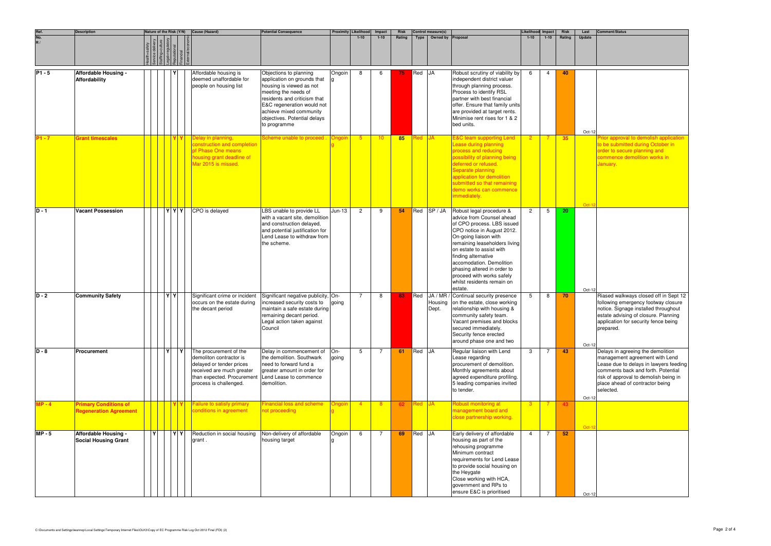|                   | <b>Description</b>                                            | Nature of the Risk (Y/N) |     | Cause (Hazard)                                                                                                                                                     | <b>Potential Consequence</b>                                                                                                                                                                                                                       | Proximity Likelihood |                | Impact         | <b>Risk</b> |               | Control measure(s)              |                                                                                                                                                                                                                                                                                                                                                                 | Likelihood Impact |                | Risk   | Last     | Comment/Status                                                                                                                                                                                                                               |
|-------------------|---------------------------------------------------------------|--------------------------|-----|--------------------------------------------------------------------------------------------------------------------------------------------------------------------|----------------------------------------------------------------------------------------------------------------------------------------------------------------------------------------------------------------------------------------------------|----------------------|----------------|----------------|-------------|---------------|---------------------------------|-----------------------------------------------------------------------------------------------------------------------------------------------------------------------------------------------------------------------------------------------------------------------------------------------------------------------------------------------------------------|-------------------|----------------|--------|----------|----------------------------------------------------------------------------------------------------------------------------------------------------------------------------------------------------------------------------------------------|
| Ref.<br>No.<br>R/ |                                                               |                          |     |                                                                                                                                                                    |                                                                                                                                                                                                                                                    |                      | $1 - 10$       | $1 - 10$       | Rating      | Type          | Owned by Proposal               |                                                                                                                                                                                                                                                                                                                                                                 | $1 - 10$          | $1 - 10$       | Rating | Update   |                                                                                                                                                                                                                                              |
| $PI - 5$          | <b>Affordable Housing -</b><br>Affordability                  |                          |     | Affordable housing is<br>deemed unaffordable for<br>people on housing list                                                                                         | Objections to planning<br>application on grounds that<br>housing is viewed as not<br>meeting the needs of<br>residents and criticism that<br>E&C regeneration would not<br>achieve mixed community<br>objectives. Potential delays<br>to programme | Ongoin               | 8              | 6              | 75.         | Red JA        |                                 | Robust scrutiny of viability by<br>independent district valuer<br>through planning process.<br>Process to identify RSL<br>partner with best financial<br>offer. Ensure that family units<br>are provided at target rents.<br>Minimise rent rises for 1 & 2<br>bed units.                                                                                        | - 6               | -4             | 40     | Oct-12   |                                                                                                                                                                                                                                              |
| P1 - 7            | <b>Grant timescales</b>                                       |                          |     | Delay in planning,<br>construction and completior<br>pf Phase One means<br>housing grant deadline of<br>Mar 2015 is missed.                                        | Scheme unable to proceed                                                                                                                                                                                                                           | Ongoin               | $5^{\circ}$    | 10             | 85          | Red <b>JA</b> |                                 | <b>E&amp;C team supporting Lend</b><br>Lease during planning<br>process and reducing<br>possibility of planning being<br>deferred or refused.<br>Separate planning<br>application for demolition<br>submitted so that remaining<br>demo works can commence<br>immediately.                                                                                      |                   |                | 35     | $Oct-12$ | Prior approval to demolish application<br>to be submitted during October in<br>order to secure planning and<br>commence demolition works in<br>January.                                                                                      |
| $D - 1$           | <b>Vacant Possession</b>                                      |                          | YYY | CPO is delayed                                                                                                                                                     | LBS unable to provide LL<br>with a vacant site, demolition<br>and construction delayed,<br>and potential justification for<br>Lend Lease to withdraw from<br>the scheme.                                                                           | $Jun-13$             | $\overline{2}$ | 9              | 54          |               | Red SP / JA                     | Robust legal procedure &<br>advice from Counsel ahead<br>of CPO process. LBS issued<br>CPO notice in August 2012.<br>On-going liaison with<br>remaining leaseholders living<br>on estate to assist with<br>finding alternative<br>accomodation. Demolition<br>phasing altered in order to<br>proceed with works safely<br>whilst residents remain on<br>estate. | $\overline{2}$    | -5             | 20     | Oct-12   |                                                                                                                                                                                                                                              |
| $D - 2$           | <b>Community Safety</b>                                       |                          | YY  | Significant crime or incident<br>occurs on the estate during<br>the decant period                                                                                  | Significant negative publicity, On-<br>increased security costs to<br>maintain a safe estate during<br>remaining decant period.<br>Legal action taken against<br>Council                                                                           | going                | $\overline{7}$ | 8              | 83          |               | Red JA / MR<br>Housing<br>Dept. | Continual security presence<br>on the estate, close working<br>relationship with housing &<br>community safety team.<br>Vacant premises and blocks<br>secured immediately.<br>Security fence erected<br>around phase one and two                                                                                                                                | $5^{\circ}$       | 8              | 70     | Oct-12   | Riased walkways closed off in Sept 12<br>following emergency footway closure<br>notice. Signage installed throughout<br>estate advising of closure. Planning<br>application for security fence being<br>prepared.                            |
| $D - 8$           | Procurement                                                   |                          |     | The procurement of the<br>demoliton contractor is<br>delayed or tender prices<br>received are much greater<br>than expected. Procurement<br>process is challenged. | Delay in commencement of<br>the demolition. Southwark<br>need to forward fund a<br>greater amount in order for<br>Lend Lease to commence<br>demolition.                                                                                            | On-<br>going         | 5              | 7              | 61          | Red JA        |                                 | Regular liaison with Lend<br>Lease regarding<br>procurement of demolition.<br>Monthly agreements about<br>agreed expenditure profiling.<br>5 leading companies invited<br>to tender.                                                                                                                                                                            | 3                 |                | 43     | Oct-12   | Delays in agreeing the demolition<br>management agreement with Lend<br>Lease due to delays in lawyers feeding<br>comments back and forth. Potential<br>risk of approval to demolish being in<br>place ahead of contractor being<br>selected. |
| $MP - 4$          | <b>Primary Conditions of</b><br><b>Regeneration Agreement</b> |                          |     | <b>Failure to satisfy primary</b><br>conditions in agreement                                                                                                       | <b>Financial loss and scheme</b><br>not proceeding                                                                                                                                                                                                 | Ongoin               | $-4$           | 8              |             | Red JA        |                                 | Robust monitoring at<br>management board and<br>close partnership working.                                                                                                                                                                                                                                                                                      | -3-               | -7             |        | Oct-12   |                                                                                                                                                                                                                                              |
| $MP - 5$          | <b>Affordable Housing -</b><br><b>Social Housing Grant</b>    | $\mathbf{v}$             | YY  | Reduction in social housing<br>grant.                                                                                                                              | Non-delivery of affordable<br>housing target                                                                                                                                                                                                       | Ongoin               | 6              | $\overline{7}$ | 69          | Red JA        |                                 | Early delivery of affordable<br>housing as part of the<br>rehousing programme<br>Minimum contract<br>requirements for Lend Lease<br>to provide social housing on<br>the Heygate<br>Close working with HCA,<br>government and RPs to<br>ensure E&C is prioritised                                                                                                | $\overline{4}$    | $\overline{7}$ | 52     | Oct-12   |                                                                                                                                                                                                                                              |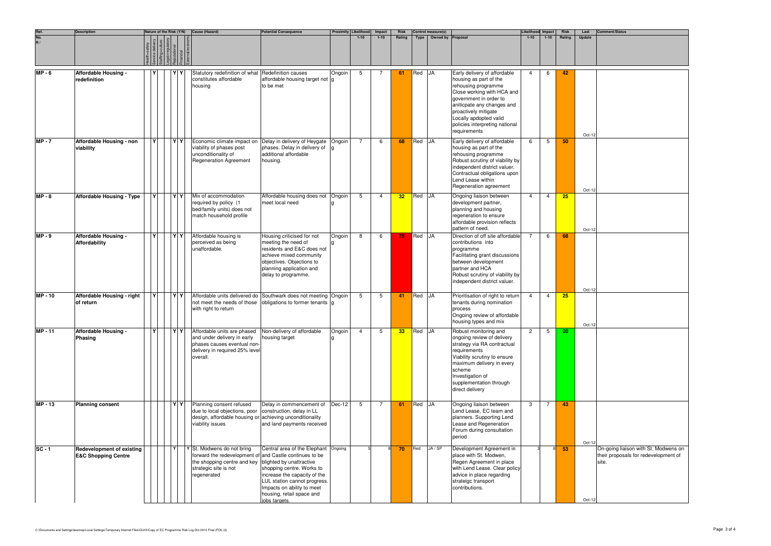|                                          | <b>Description</b>                                                 | Nature of the Risk (Y/N)<br>Cause (Hazard) |             |  |  |     |                                                                                                                                                                                       | <b>Potential Consequence</b>                                                                                                                                                                                  | Proximity Likelihood | Impact         | <b>Risk</b> |                 | Control measure(s) |                   | Likelihood Impact                                                                                                                                                                                                                                                       |                | Risk           | Last   | <b>Comment/Status</b> |                                                                                       |
|------------------------------------------|--------------------------------------------------------------------|--------------------------------------------|-------------|--|--|-----|---------------------------------------------------------------------------------------------------------------------------------------------------------------------------------------|---------------------------------------------------------------------------------------------------------------------------------------------------------------------------------------------------------------|----------------------|----------------|-------------|-----------------|--------------------|-------------------|-------------------------------------------------------------------------------------------------------------------------------------------------------------------------------------------------------------------------------------------------------------------------|----------------|----------------|--------|-----------------------|---------------------------------------------------------------------------------------|
| Ref.<br>No.<br>$\overline{\mathbf{R}}$ / |                                                                    |                                            |             |  |  |     |                                                                                                                                                                                       |                                                                                                                                                                                                               |                      | $1 - 10$       | $1 - 10$    | Rating          | Type               | Owned by Proposal |                                                                                                                                                                                                                                                                         | $1 - 10$       | $1 - 10$       | Rating | Update                |                                                                                       |
| $MP - 6$                                 | Affordable Housing -<br>redefinition                               |                                            |             |  |  |     | Statutory redefinition of what Redefinition causes<br>constitutes affordable<br>housing                                                                                               | affordable housing target not g<br>to be met                                                                                                                                                                  | Ongoin               | 5              | 7           | 61              | Red JA             |                   | Early delivery of affordable<br>housing as part of the<br>rehousing programme<br>Close working with HCA and<br>government in order to<br>aniticpate any changes and<br>proactively mitigate<br>Locally apdopted valid<br>policies interpreting national<br>requirements | $\overline{4}$ | 6              | 42     | Oct-12                |                                                                                       |
| $MP - 7$                                 | Affordable Housing - non<br>viability                              |                                            | $\mathbf v$ |  |  | YY  | Economic climate impact on<br>viability of phases post<br>unconditionality of<br><b>Regeneration Agreement</b>                                                                        | Delay in delivery of Heygate<br>phases. Delay in delivery of<br>additional affordable<br>housing.                                                                                                             | Ongoin               | $\overline{7}$ | -6          | 68              | Red JA             |                   | Early delivery of affordable<br>housing as part of the<br>rehousing programme<br>Robust scrutiny of viability by<br>independent district valuer.<br>Contractual obligations upon<br>Lend Lease within<br>Regeneration agreement                                         | -6             | $5^{\circ}$    | 50     | Oct-12                |                                                                                       |
| $MP - 8$                                 | <b>Affordable Housing - Type</b>                                   |                                            |             |  |  | YY  | Mix of accommodation<br>required by policy (1<br>bed/family units) does not<br>match household profile                                                                                | Affordable housing does not<br>meet local need                                                                                                                                                                | Ongoin               | 5              | 4           | 32 <sub>2</sub> | Red JA             |                   | Ongoing liaison between<br>development partner,<br>planning and housing<br>regeneration to ensure<br>affordable provision reflects<br>pattern of need.                                                                                                                  | 4              | $\overline{a}$ | 25     | Oct-12                |                                                                                       |
| $MP - 9$                                 | Affordable Housing -<br><b>Affordability</b>                       |                                            | $\mathbf v$ |  |  | YY  | Affordable housing is<br>perceived as being<br>unaffordable.                                                                                                                          | Housing criticised for not<br>meeting the need of<br>residents and E&C does not<br>achieve mixed community<br>objectives. Objections to<br>planning application and<br>delay to programme.                    | Ongoin               | 8              | 6           | 75 <sub>1</sub> | Red JA             |                   | Direction of off site affordable<br>contributions into<br>programme<br>Facilitating grant discussions<br>between development<br>partner and HCA<br>Robust scrutiny of viability by<br>independent district valuer.                                                      |                | 6              | 68     | Oct-12                |                                                                                       |
| <b>MP-10</b>                             | Affordable Housing - right<br>of return                            |                                            | IY.         |  |  | YY  | Affordable units delivered do Southwark does not meeting Ongoin<br>with right to return                                                                                               | not meet the needs of those obligations to former tenants g                                                                                                                                                   |                      | 5              | 5           | 41              | Red JA             |                   | Prioritisation of right to return<br>tenants during nomination<br>process<br>Ongoing review of affordable<br>housing types and mix                                                                                                                                      | 4              | $\overline{4}$ | 25     | Oct-12                |                                                                                       |
| <b>MP-11</b>                             | Affordable Housing -<br><b>Phasing</b>                             |                                            | l۷l         |  |  | Y Y | Affordable units are phased Non-delivery of affordable<br>and under delivery in early<br>phases causes eventual non-<br>delivery in required 25% level<br>overall.                    | housing target                                                                                                                                                                                                | Ongoin               | $\overline{4}$ | 5           | 33 <sub>o</sub> | Red JA             |                   | Robust monitoring and<br>ongoing review of delivery<br>strategy via RA contractual<br>requirements<br>Viability scrutiny to ensure<br>maximum delivery in every<br>scheme<br>Investigation of<br>supplementation through<br>direct delivery                             | 2              | 5              | 20     |                       |                                                                                       |
| <b>MP-13</b>                             | <b>Planning consent</b>                                            |                                            |             |  |  |     | Planning consent refused<br>due to local objections, poor   construction, delay in LL<br>design, affordable housing or achieving unconditionality<br>viability issues                 | Delay in commencement of<br>and land payments received                                                                                                                                                        | $Dec-12$             | 5              | -7          | 61              | Red JA             |                   | Ongoing liaison between<br>Lend Lease, EC team and<br>planners. Supporting Lend<br>Lease and Regeneration<br>Forum during consultation<br>period                                                                                                                        | 3              | $\overline{7}$ | 43     | Oct-12                |                                                                                       |
| $SC - 1$                                 | <b>Redevelopment of existing</b><br><b>E&amp;C Shopping Centre</b> |                                            |             |  |  |     | Y St. Modwens do not bring<br>forward the redevelopment of and Castle continues to be<br>the shopping centre and key blighted by unattractive<br>strategic site is not<br>regenerated | Central area of the Elephant Ongoing<br>shopping centre. Works to<br>increase the capacity of the<br>LUL station cannot progress.<br>Impacts on ability to meet<br>housing, retail space and<br>iobs targets. |                      |                |             | 70              | Red                | JA / SP           | Development Agreement in<br>place with St. Modwen,<br>Regen Agreement in place<br>with Lend Lease. Clear policy<br>advice in place regarding<br>strateigc transport<br>contributions.                                                                                   |                |                | 53     | Oct-12                | On-going liaison with St. Modwens on<br>their proposals for redevelopment of<br>site. |